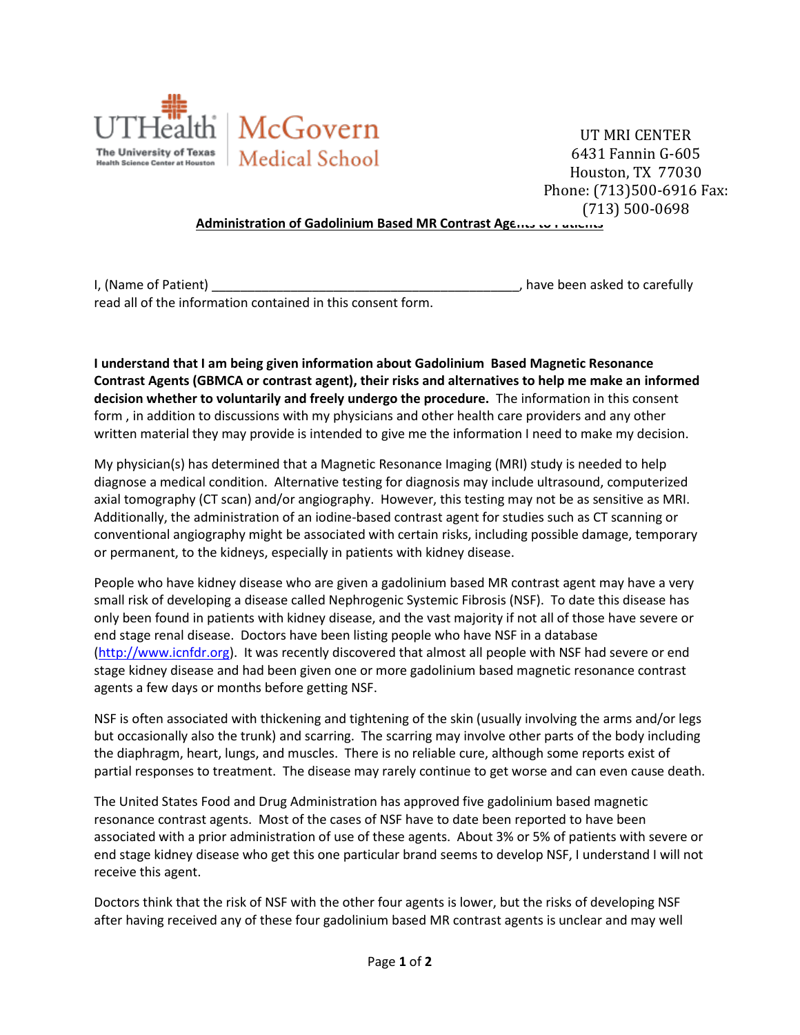

UT MRI CENTER 6431 Fannin G-605 Houston, TX 77030 Phone: (713)500-6916 Fax: (713) 500-0698

## **Administration of Gadolinium Based MR Contrast Agents to Patients**

| I, (Name of Patient)                                        | , have been asked to carefully |  |
|-------------------------------------------------------------|--------------------------------|--|
| read all of the information contained in this consent form. |                                |  |

**I understand that I am being given information about Gadolinium Based Magnetic Resonance Contrast Agents (GBMCA or contrast agent), their risks and alternatives to help me make an informed decision whether to voluntarily and freely undergo the procedure.** The information in this consent form , in addition to discussions with my physicians and other health care providers and any other written material they may provide is intended to give me the information I need to make my decision.

My physician(s) has determined that a Magnetic Resonance Imaging (MRI) study is needed to help diagnose a medical condition. Alternative testing for diagnosis may include ultrasound, computerized axial tomography (CT scan) and/or angiography. However, this testing may not be as sensitive as MRI. Additionally, the administration of an iodine-based contrast agent for studies such as CT scanning or conventional angiography might be associated with certain risks, including possible damage, temporary or permanent, to the kidneys, especially in patients with kidney disease.

People who have kidney disease who are given a gadolinium based MR contrast agent may have a very small risk of developing a disease called Nephrogenic Systemic Fibrosis (NSF). To date this disease has only been found in patients with kidney disease, and the vast majority if not all of those have severe or end stage renal disease. Doctors have been listing people who have NSF in a database [\(http://www.icnfdr.org\)](http://www.icnfdr.org/). It was recently discovered that almost all people with NSF had severe or end stage kidney disease and had been given one or more gadolinium based magnetic resonance contrast agents a few days or months before getting NSF.

NSF is often associated with thickening and tightening of the skin (usually involving the arms and/or legs but occasionally also the trunk) and scarring. The scarring may involve other parts of the body including the diaphragm, heart, lungs, and muscles. There is no reliable cure, although some reports exist of partial responses to treatment. The disease may rarely continue to get worse and can even cause death.

The United States Food and Drug Administration has approved five gadolinium based magnetic resonance contrast agents. Most of the cases of NSF have to date been reported to have been associated with a prior administration of use of these agents. About 3% or 5% of patients with severe or end stage kidney disease who get this one particular brand seems to develop NSF, I understand I will not receive this agent.

Doctors think that the risk of NSF with the other four agents is lower, but the risks of developing NSF after having received any of these four gadolinium based MR contrast agents is unclear and may well